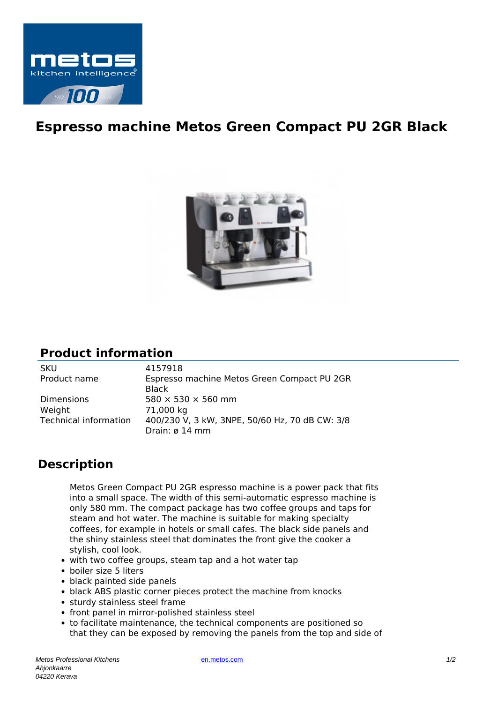

## **Espresso machine Metos Green Compact PU 2GR Black**



## **Product information**

SKU 4157918<br>Product name Espresso

Dimensions  $580 \times 530 \times 560$  mm Weight 71,000 kg

Espresso machine Metos Green Compact PU 2GR Black Technical information 400/230 V, 3 kW, 3NPE, 50/60 Hz, 70 dB CW: 3/8 Drain: ø 14 mm

## **Description**

Metos Green Compact PU 2GR espresso machine is a power pack that fits into a small space. The width of this semi-automatic espresso machine is only 580 mm. The compact package has two coffee groups and taps for steam and hot water. The machine is suitable for making specialty coffees, for example in hotels or small cafes. The black side panels and the shiny stainless steel that dominates the front give the cooker a stylish, cool look.

- with two coffee groups, steam tap and a hot water tap
- boiler size 5 liters
- black painted side panels
- black ABS plastic corner pieces protect the machine from knocks
- sturdy stainless steel frame
- front panel in mirror-polished stainless steel
- to facilitate maintenance, the technical components are positioned so that they can be exposed by removing the panels from the top and side of